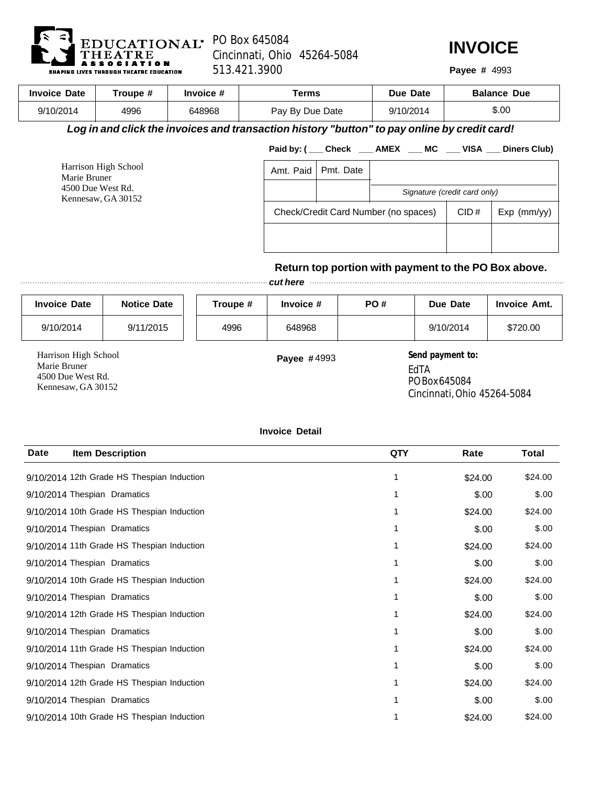

Harrison High School Marie Bruner 4500 Due West Rd. Kennesaw, GA 30152

Cincinnati, Ohio 45264-5084 513.421.3900 **Payee #**



Payee # 4993

| <b>Invoice Date</b>                     | Troupe #                                                                                     |                                                             | Invoice # |                 | <b>Terms</b> |           | Due Date                     |           | <b>Balance Due</b>                                              |
|-----------------------------------------|----------------------------------------------------------------------------------------------|-------------------------------------------------------------|-----------|-----------------|--------------|-----------|------------------------------|-----------|-----------------------------------------------------------------|
| 9/10/2014                               | 4996                                                                                         | 648968                                                      |           | Pay By Due Date |              | 9/10/2014 |                              | \$.00     |                                                                 |
|                                         | Log in and click the invoices and transaction history "button" to pay online by credit card! |                                                             |           |                 |              |           |                              |           |                                                                 |
|                                         |                                                                                              |                                                             |           |                 |              |           |                              |           | Paid by: ( ___ Check ____ AMEX ___ MC ___ VISA ___ Diners Club) |
| Harrison High School<br>Marie Bruner    |                                                                                              | Amt. Paid                                                   | Pmt. Date |                 |              |           |                              |           |                                                                 |
| 4500 Due West Rd.<br>Kennesaw, GA 30152 |                                                                                              |                                                             |           |                 |              |           | Signature (credit card only) |           |                                                                 |
|                                         |                                                                                              | Check/Credit Card Number (no spaces)<br>CID#<br>Exp (mm/yy) |           |                 |              |           |                              |           |                                                                 |
|                                         |                                                                                              |                                                             |           |                 |              |           |                              |           | Return top portion with payment to the PO Box above.            |
|                                         |                                                                                              |                                                             |           | cut here        |              |           |                              |           |                                                                 |
| <b>Invoice Date</b>                     | <b>Notice Date</b>                                                                           |                                                             | Troupe #  | Invoice #       |              | PO#       |                              | Due Date  | <b>Invoice Amt.</b>                                             |
| 9/10/2014                               | 9/11/2015                                                                                    |                                                             | 4996      | 648968          |              |           |                              | 9/10/2014 | \$720.00                                                        |

**Payee #4993** Send payment to: EdTA PO Box 645084 Cincinnati, Ohio 45264-5084

**Invoice Detail**

| <b>Date</b>                  | <b>Item Description</b>                    | QTY | Rate    | Total   |
|------------------------------|--------------------------------------------|-----|---------|---------|
|                              | 9/10/2014 12th Grade HS Thespian Induction |     | \$24.00 | \$24.00 |
| 9/10/2014 Thespian Dramatics |                                            |     | \$.00   | \$.00   |
|                              | 9/10/2014 10th Grade HS Thespian Induction |     | \$24.00 | \$24.00 |
| 9/10/2014 Thespian Dramatics |                                            |     | \$.00   | \$.00   |
|                              | 9/10/2014 11th Grade HS Thespian Induction |     | \$24.00 | \$24.00 |
| 9/10/2014 Thespian Dramatics |                                            |     | \$.00   | \$.00   |
|                              | 9/10/2014 10th Grade HS Thespian Induction |     | \$24.00 | \$24.00 |
| 9/10/2014 Thespian Dramatics |                                            |     | \$.00   | \$.00   |
|                              | 9/10/2014 12th Grade HS Thespian Induction |     | \$24.00 | \$24.00 |
| 9/10/2014 Thespian Dramatics |                                            |     | \$.00   | \$.00   |
|                              | 9/10/2014 11th Grade HS Thespian Induction |     | \$24.00 | \$24.00 |
| 9/10/2014 Thespian Dramatics |                                            |     | \$.00   | \$.00   |
|                              | 9/10/2014 12th Grade HS Thespian Induction |     | \$24.00 | \$24.00 |
| 9/10/2014 Thespian Dramatics |                                            |     | \$.00   | \$.00   |
|                              | 9/10/2014 10th Grade HS Thespian Induction |     | \$24.00 | \$24.00 |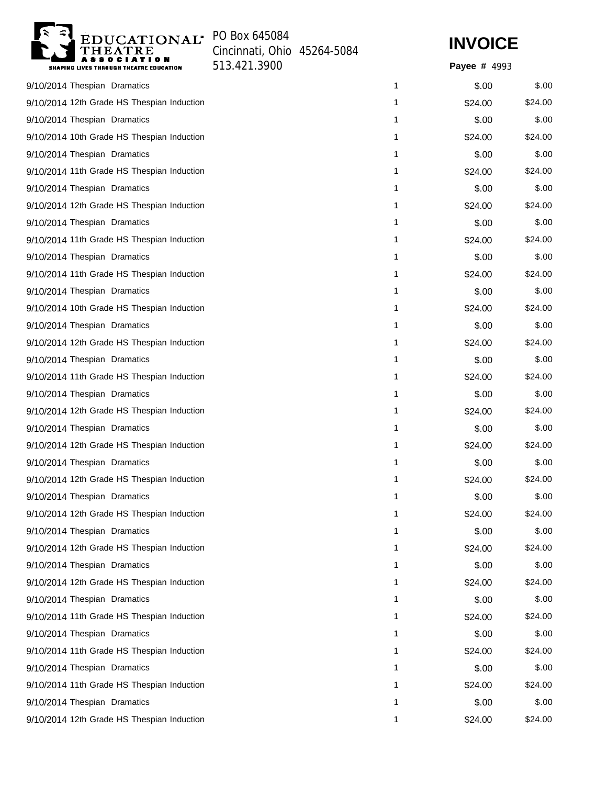

Cincinnati, Ohio 45264-5084 513.421.3900 **Payee #**



Payee # 4993

| 9/10/2014 Thespian Dramatics               | 1 | \$.00   | \$.00   |
|--------------------------------------------|---|---------|---------|
| 9/10/2014 12th Grade HS Thespian Induction | 1 | \$24.00 | \$24.00 |
| 9/10/2014 Thespian Dramatics               | 1 | \$.00   | \$.00   |
| 9/10/2014 10th Grade HS Thespian Induction | 1 | \$24.00 | \$24.00 |
| 9/10/2014 Thespian Dramatics               | 1 | \$.00   | \$.00   |
| 9/10/2014 11th Grade HS Thespian Induction | 1 | \$24.00 | \$24.00 |
| 9/10/2014 Thespian Dramatics               | 1 | \$.00   | \$.00   |
| 9/10/2014 12th Grade HS Thespian Induction | 1 | \$24.00 | \$24.00 |
| 9/10/2014 Thespian Dramatics               | 1 | \$.00   | \$.00   |
| 9/10/2014 11th Grade HS Thespian Induction | 1 | \$24.00 | \$24.00 |
| 9/10/2014 Thespian Dramatics               | 1 | \$.00   | \$.00   |
| 9/10/2014 11th Grade HS Thespian Induction | 1 | \$24.00 | \$24.00 |
| 9/10/2014 Thespian Dramatics               | 1 | \$.00   | \$.00   |
| 9/10/2014 10th Grade HS Thespian Induction | 1 | \$24.00 | \$24.00 |
| 9/10/2014 Thespian Dramatics               | 1 | \$.00   | \$.00   |
| 9/10/2014 12th Grade HS Thespian Induction | 1 | \$24.00 | \$24.00 |
| 9/10/2014 Thespian Dramatics               | 1 | \$.00   | \$.00   |
| 9/10/2014 11th Grade HS Thespian Induction | 1 | \$24.00 | \$24.00 |
| 9/10/2014 Thespian Dramatics               | 1 | \$.00   | \$.00   |
| 9/10/2014 12th Grade HS Thespian Induction | 1 | \$24.00 | \$24.00 |
| 9/10/2014 Thespian Dramatics               | 1 | \$.00   | \$.00   |
| 9/10/2014 12th Grade HS Thespian Induction | 1 | \$24.00 | \$24.00 |
| 9/10/2014 Thespian Dramatics               | 1 | \$.00   | \$.00   |
| 9/10/2014 12th Grade HS Thespian Induction | 1 | \$24.00 | \$24.00 |
| 9/10/2014 Thespian Dramatics               | 1 | \$.00   | \$.00   |
| 9/10/2014 12th Grade HS Thespian Induction | 1 | \$24.00 | \$24.00 |
| 9/10/2014 Thespian Dramatics               | 1 | \$.00   | \$.00   |
| 9/10/2014 12th Grade HS Thespian Induction | 1 | \$24.00 | \$24.00 |
| 9/10/2014 Thespian Dramatics               | 1 | \$.00   | \$.00   |
| 9/10/2014 12th Grade HS Thespian Induction | 1 | \$24.00 | \$24.00 |
| 9/10/2014 Thespian Dramatics               | 1 | \$.00   | \$.00   |
| 9/10/2014 11th Grade HS Thespian Induction | 1 | \$24.00 | \$24.00 |
| 9/10/2014 Thespian Dramatics               | 1 | \$.00   | \$.00   |
| 9/10/2014 11th Grade HS Thespian Induction | 1 | \$24.00 | \$24.00 |
| 9/10/2014 Thespian Dramatics               | 1 | \$.00   | \$.00   |
| 9/10/2014 11th Grade HS Thespian Induction | 1 | \$24.00 | \$24.00 |
| 9/10/2014 Thespian Dramatics               | 1 | \$.00   | \$.00   |
| 9/10/2014 12th Grade HS Thespian Induction | 1 | \$24.00 | \$24.00 |